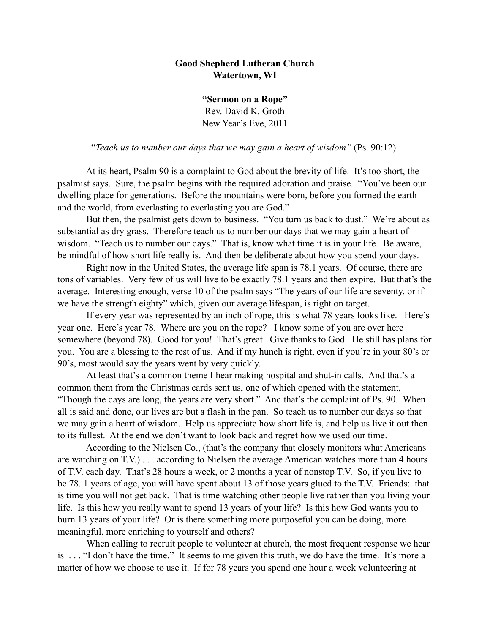## **Good Shepherd Lutheran Church Watertown, WI**

**"Sermon on a Rope"** Rev. David K. Groth New Year's Eve, 2011

"*Teach us to number our days that we may gain a heart of wisdom"* (Ps. 90:12).

 At its heart, Psalm 90 is a complaint to God about the brevity of life. It's too short, the psalmist says. Sure, the psalm begins with the required adoration and praise. "You've been our dwelling place for generations. Before the mountains were born, before you formed the earth and the world, from everlasting to everlasting you are God."

But then, the psalmist gets down to business. "You turn us back to dust." We're about as substantial as dry grass. Therefore teach us to number our days that we may gain a heart of wisdom. "Teach us to number our days." That is, know what time it is in your life. Be aware, be mindful of how short life really is. And then be deliberate about how you spend your days.

Right now in the United States, the average life span is 78.1 years. Of course, there are tons of variables. Very few of us will live to be exactly 78.1 years and then expire. But that's the average. Interesting enough, verse 10 of the psalm says "The years of our life are seventy, or if we have the strength eighty" which, given our average lifespan, is right on target.

 If every year was represented by an inch of rope, this is what 78 years looks like. Here's year one. Here's year 78. Where are you on the rope? I know some of you are over here somewhere (beyond 78). Good for you! That's great. Give thanks to God. He still has plans for you. You are a blessing to the rest of us. And if my hunch is right, even if you're in your 80's or 90's, most would say the years went by very quickly.

At least that's a common theme I hear making hospital and shut-in calls. And that's a common them from the Christmas cards sent us, one of which opened with the statement, "Though the days are long, the years are very short." And that's the complaint of Ps. 90. When all is said and done, our lives are but a flash in the pan. So teach us to number our days so that we may gain a heart of wisdom. Help us appreciate how short life is, and help us live it out then to its fullest. At the end we don't want to look back and regret how we used our time.

 According to the Nielsen Co., (that's the company that closely monitors what Americans are watching on T.V.) . . . according to Nielsen the average American watches more than 4 hours of T.V. each day. That's 28 hours a week, or 2 months a year of nonstop T.V. So, if you live to be 78. 1 years of age, you will have spent about 13 of those years glued to the T.V. Friends: that is time you will not get back. That is time watching other people live rather than you living your life. Is this how you really want to spend 13 years of your life? Is this how God wants you to burn 13 years of your life? Or is there something more purposeful you can be doing, more meaningful, more enriching to yourself and others?

When calling to recruit people to volunteer at church, the most frequent response we hear is . . . "I don't have the time." It seems to me given this truth, we do have the time. It's more a matter of how we choose to use it. If for 78 years you spend one hour a week volunteering at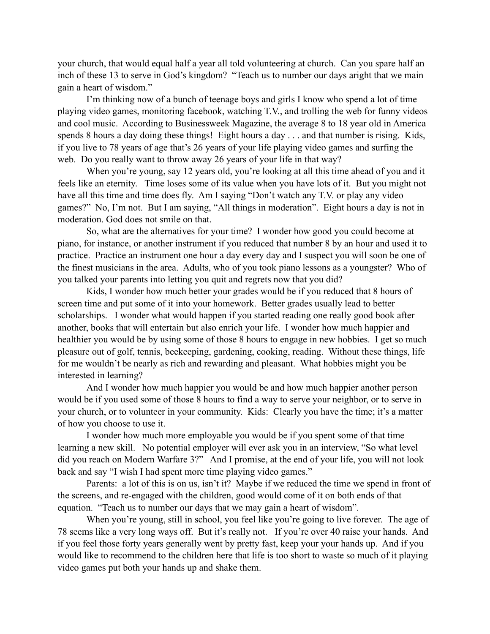your church, that would equal half a year all told volunteering at church. Can you spare half an inch of these 13 to serve in God's kingdom? "Teach us to number our days aright that we main gain a heart of wisdom."

I'm thinking now of a bunch of teenage boys and girls I know who spend a lot of time playing video games, monitoring facebook, watching T.V., and trolling the web for funny videos and cool music. According to Businessweek Magazine, the average 8 to 18 year old in America spends 8 hours a day doing these things! Eight hours a day . . . and that number is rising. Kids, if you live to 78 years of age that's 26 years of your life playing video games and surfing the web. Do you really want to throw away 26 years of your life in that way?

When you're young, say 12 years old, you're looking at all this time ahead of you and it feels like an eternity. Time loses some of its value when you have lots of it. But you might not have all this time and time does fly. Am I saying "Don't watch any T.V. or play any video games?" No, I'm not. But I am saying, "All things in moderation". Eight hours a day is not in moderation. God does not smile on that.

So, what are the alternatives for your time? I wonder how good you could become at piano, for instance, or another instrument if you reduced that number 8 by an hour and used it to practice. Practice an instrument one hour a day every day and I suspect you will soon be one of the finest musicians in the area. Adults, who of you took piano lessons as a youngster? Who of you talked your parents into letting you quit and regrets now that you did?

Kids, I wonder how much better your grades would be if you reduced that 8 hours of screen time and put some of it into your homework. Better grades usually lead to better scholarships. I wonder what would happen if you started reading one really good book after another, books that will entertain but also enrich your life. I wonder how much happier and healthier you would be by using some of those 8 hours to engage in new hobbies. I get so much pleasure out of golf, tennis, beekeeping, gardening, cooking, reading. Without these things, life for me wouldn't be nearly as rich and rewarding and pleasant. What hobbies might you be interested in learning?

And I wonder how much happier you would be and how much happier another person would be if you used some of those 8 hours to find a way to serve your neighbor, or to serve in your church, or to volunteer in your community. Kids: Clearly you have the time; it's a matter of how you choose to use it.

I wonder how much more employable you would be if you spent some of that time learning a new skill. No potential employer will ever ask you in an interview, "So what level did you reach on Modern Warfare 3?" And I promise, at the end of your life, you will not look back and say "I wish I had spent more time playing video games."

Parents: a lot of this is on us, isn't it? Maybe if we reduced the time we spend in front of the screens, and re-engaged with the children, good would come of it on both ends of that equation. "Teach us to number our days that we may gain a heart of wisdom".

When you're young, still in school, you feel like you're going to live forever. The age of 78 seems like a very long ways off. But it's really not. If you're over 40 raise your hands. And if you feel those forty years generally went by pretty fast, keep your your hands up. And if you would like to recommend to the children here that life is too short to waste so much of it playing video games put both your hands up and shake them.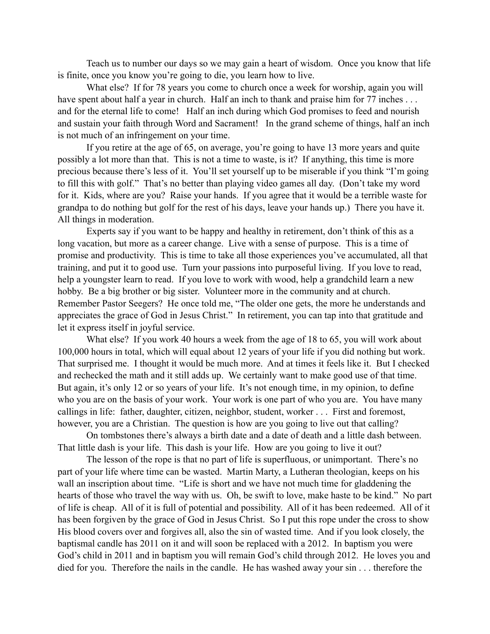Teach us to number our days so we may gain a heart of wisdom. Once you know that life is finite, once you know you're going to die, you learn how to live.

What else? If for 78 years you come to church once a week for worship, again you will have spent about half a year in church. Half an inch to thank and praise him for 77 inches ... and for the eternal life to come! Half an inch during which God promises to feed and nourish and sustain your faith through Word and Sacrament! In the grand scheme of things, half an inch is not much of an infringement on your time.

If you retire at the age of 65, on average, you're going to have 13 more years and quite possibly a lot more than that. This is not a time to waste, is it? If anything, this time is more precious because there's less of it. You'll set yourself up to be miserable if you think "I'm going to fill this with golf." That's no better than playing video games all day. (Don't take my word for it. Kids, where are you? Raise your hands. If you agree that it would be a terrible waste for grandpa to do nothing but golf for the rest of his days, leave your hands up.) There you have it. All things in moderation.

Experts say if you want to be happy and healthy in retirement, don't think of this as a long vacation, but more as a career change. Live with a sense of purpose. This is a time of promise and productivity. This is time to take all those experiences you've accumulated, all that training, and put it to good use. Turn your passions into purposeful living. If you love to read, help a youngster learn to read. If you love to work with wood, help a grandchild learn a new hobby. Be a big brother or big sister. Volunteer more in the community and at church. Remember Pastor Seegers? He once told me, "The older one gets, the more he understands and appreciates the grace of God in Jesus Christ." In retirement, you can tap into that gratitude and let it express itself in joyful service.

What else? If you work 40 hours a week from the age of 18 to 65, you will work about 100,000 hours in total, which will equal about 12 years of your life if you did nothing but work. That surprised me. I thought it would be much more. And at times it feels like it. But I checked and rechecked the math and it still adds up. We certainly want to make good use of that time. But again, it's only 12 or so years of your life. It's not enough time, in my opinion, to define who you are on the basis of your work. Your work is one part of who you are. You have many callings in life: father, daughter, citizen, neighbor, student, worker . . . First and foremost, however, you are a Christian. The question is how are you going to live out that calling?

On tombstones there's always a birth date and a date of death and a little dash between. That little dash is your life. This dash is your life. How are you going to live it out?

The lesson of the rope is that no part of life is superfluous, or unimportant. There's no part of your life where time can be wasted. Martin Marty, a Lutheran theologian, keeps on his wall an inscription about time. "Life is short and we have not much time for gladdening the hearts of those who travel the way with us. Oh, be swift to love, make haste to be kind." No part of life is cheap. All of it is full of potential and possibility. All of it has been redeemed. All of it has been forgiven by the grace of God in Jesus Christ. So I put this rope under the cross to show His blood covers over and forgives all, also the sin of wasted time. And if you look closely, the baptismal candle has 2011 on it and will soon be replaced with a 2012. In baptism you were God's child in 2011 and in baptism you will remain God's child through 2012. He loves you and died for you. Therefore the nails in the candle. He has washed away your sin . . . therefore the